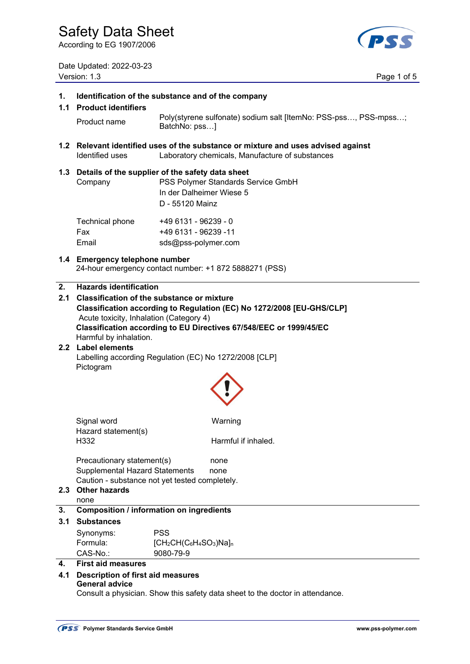According to EG 1907/2006

Date Updated: 2022-03-23 Version: 1.3 Page 1 of 5



| $\mathbf 1$ .    | Identification of the substance and of the company<br>1.1 Product identifiers                                                                                                                                                                                                                                             |                                                                                                                                           |  |  |  |
|------------------|---------------------------------------------------------------------------------------------------------------------------------------------------------------------------------------------------------------------------------------------------------------------------------------------------------------------------|-------------------------------------------------------------------------------------------------------------------------------------------|--|--|--|
|                  | Product name                                                                                                                                                                                                                                                                                                              | Poly(styrene sulfonate) sodium salt [ItemNo: PSS-pss, PSS-mpss;<br>BatchNo: pss]                                                          |  |  |  |
|                  | Identified uses                                                                                                                                                                                                                                                                                                           | 1.2 Relevant identified uses of the substance or mixture and uses advised against<br>Laboratory chemicals, Manufacture of substances      |  |  |  |
|                  | Company                                                                                                                                                                                                                                                                                                                   | 1.3 Details of the supplier of the safety data sheet<br>PSS Polymer Standards Service GmbH<br>In der Dalheimer Wiese 5<br>D - 55120 Mainz |  |  |  |
|                  | Technical phone<br>Fax<br>Email                                                                                                                                                                                                                                                                                           | +49 6131 - 96239 - 0<br>+49 6131 - 96239 -11<br>sds@pss-polymer.com                                                                       |  |  |  |
|                  | 1.4 Emergency telephone number                                                                                                                                                                                                                                                                                            | 24-hour emergency contact number: +1 872 5888271 (PSS)                                                                                    |  |  |  |
| 2.               | <b>Hazards identification</b><br>2.1 Classification of the substance or mixture<br>Classification according to Regulation (EC) No 1272/2008 [EU-GHS/CLP]<br>Acute toxicity, Inhalation (Category 4)<br>Classification according to EU Directives 67/548/EEC or 1999/45/EC<br>Harmful by inhalation.<br>2.2 Label elements |                                                                                                                                           |  |  |  |
|                  | Labelling according Regulation (EC) No 1272/2008 [CLP]<br>Pictogram                                                                                                                                                                                                                                                       |                                                                                                                                           |  |  |  |
|                  | Signal word<br>Hazard statement(s)<br>H332                                                                                                                                                                                                                                                                                | Warning<br>Harmful if inhaled.                                                                                                            |  |  |  |
| 2.3 <sub>1</sub> | Precautionary statement(s)<br><b>Supplemental Hazard Statements</b><br><b>Other hazards</b><br>none                                                                                                                                                                                                                       | none<br>none<br>Caution - substance not yet tested completely.                                                                            |  |  |  |
| 3.               |                                                                                                                                                                                                                                                                                                                           | <b>Composition / information on ingredients</b>                                                                                           |  |  |  |
| 3.1              | <b>Substances</b>                                                                                                                                                                                                                                                                                                         |                                                                                                                                           |  |  |  |
|                  | Synonyms:                                                                                                                                                                                                                                                                                                                 | <b>PSS</b>                                                                                                                                |  |  |  |
|                  | Formula:<br>CAS-No.:                                                                                                                                                                                                                                                                                                      | $[CH_2CH(C_6H_4SO_3)Na]_n$<br>9080-79-9                                                                                                   |  |  |  |
| 4.               | <b>First aid measures</b>                                                                                                                                                                                                                                                                                                 |                                                                                                                                           |  |  |  |
|                  | 4.1 Description of first aid measures<br><b>General advice</b><br>Consult a physician. Show this safety data sheet to the doctor in attendance.                                                                                                                                                                           |                                                                                                                                           |  |  |  |
|                  |                                                                                                                                                                                                                                                                                                                           |                                                                                                                                           |  |  |  |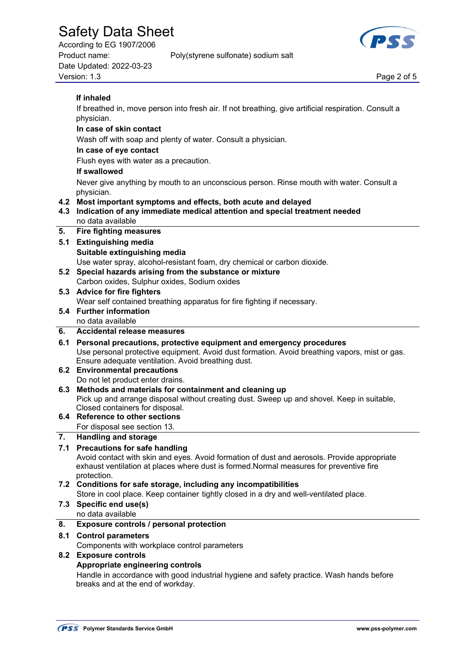According to EG 1907/2006 Product name: Poly(styrene sulfonate) sodium salt

Date Updated: 2022-03-23 Version: 1.3 Page 2 of 5



 If breathed in, move person into fresh air. If not breathing, give artificial respiration. Consult a physician.

 **In case of skin contact** Wash off with soap and plenty of water. Consult a physician. **In case of eye contact** 

Flush eyes with water as a precaution.

#### **If swallowed**

 Never give anything by mouth to an unconscious person. Rinse mouth with water. Consult a physician.

**4.2 Most important symptoms and effects, both acute and delayed** 

#### **4.3 Indication of any immediate medical attention and special treatment needed**  no data available

### **5. Fire fighting measures**

- **5.1 Extinguishing media Suitable extinguishing media**  Use water spray, alcohol-resistant foam, dry chemical or carbon dioxide. **5.2 Special hazards arising from the substance or mixture**
- Carbon oxides, Sulphur oxides, Sodium oxides
- **5.3 Advice for fire fighters** 
	- Wear self contained breathing apparatus for fire fighting if necessary.
- **5.4 Further information**

### no data available

### **6. Accidental release measures**

#### **6.1 Personal precautions, protective equipment and emergency procedures**  Use personal protective equipment. Avoid dust formation. Avoid breathing vapors, mist or gas. Ensure adequate ventilation. Avoid breathing dust.

#### **6.2 Environmental precautions**

Do not let product enter drains.

**6.3 Methods and materials for containment and cleaning up** 

 Pick up and arrange disposal without creating dust. Sweep up and shovel. Keep in suitable, Closed containers for disposal.

## **6.4 Reference to other sections**

For disposal see section 13.

## **7. Handling and storage**

### **7.1 Precautions for safe handling**

 Avoid contact with skin and eyes. Avoid formation of dust and aerosols. Provide appropriate exhaust ventilation at places where dust is formed.Normal measures for preventive fire protection.

### **7.2 Conditions for safe storage, including any incompatibilities**

Store in cool place. Keep container tightly closed in a dry and well-ventilated place.

# **7.3 Specific end use(s)**

# no data available

## **8. Exposure controls / personal protection**

### **8.1 Control parameters**

Components with workplace control parameters

### **8.2 Exposure controls**

### **Appropriate engineering controls**

 Handle in accordance with good industrial hygiene and safety practice. Wash hands before breaks and at the end of workday.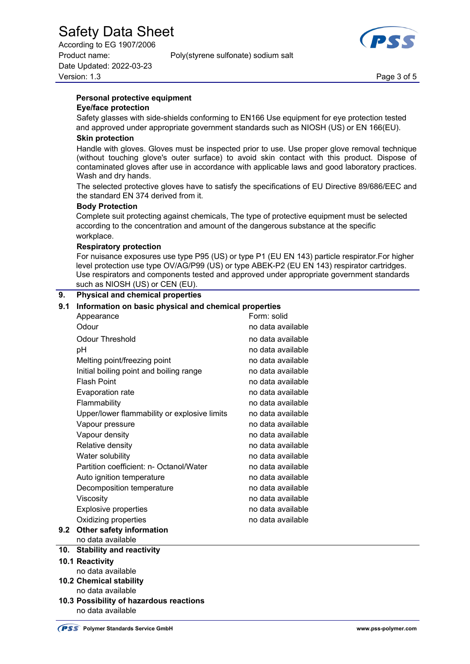According to EG 1907/2006 Product name: Poly(styrene sulfonate) sodium salt Date Updated: 2022-03-23 Version: 1.3 Page 3 of 5



# **Personal protective equipment**

### **Eye/face protection**

 Safety glasses with side-shields conforming to EN166 Use equipment for eye protection tested and approved under appropriate government standards such as NIOSH (US) or EN 166(EU).

#### **Skin protection**

 Handle with gloves. Gloves must be inspected prior to use. Use proper glove removal technique (without touching glove's outer surface) to avoid skin contact with this product. Dispose of contaminated gloves after use in accordance with applicable laws and good laboratory practices. Wash and dry hands.

 The selected protective gloves have to satisfy the specifications of EU Directive 89/686/EEC and the standard EN 374 derived from it.

#### **Body Protection**

 Complete suit protecting against chemicals, The type of protective equipment must be selected according to the concentration and amount of the dangerous substance at the specific workplace.

#### **Respiratory protection**

 For nuisance exposures use type P95 (US) or type P1 (EU EN 143) particle respirator.For higher level protection use type OV/AG/P99 (US) or type ABEK-P2 (EU EN 143) respirator cartridges. Use respirators and components tested and approved under appropriate government standards such as NIOSH (US) or CEN (EU).

#### **9. Physical and chemical properties**

#### **9.1 Information on basic physical and chemical properties**

| Form: solid<br>Appearance<br>Odour<br>no data available<br><b>Odour Threshold</b><br>no data available<br>no data available<br>рH<br>Melting point/freezing point<br>no data available<br>Initial boiling point and boiling range<br>no data available<br><b>Flash Point</b><br>no data available<br>Evaporation rate<br>no data available<br>Flammability<br>no data available<br>Upper/lower flammability or explosive limits<br>no data available<br>no data available<br>Vapour pressure<br>no data available<br>Vapour density<br>Relative density<br>no data available<br>Water solubility<br>no data available<br>Partition coefficient: n- Octanol/Water<br>no data available<br>no data available<br>Auto ignition temperature<br>no data available<br>Decomposition temperature<br>Viscosity<br>no data available<br><b>Explosive properties</b><br>no data available<br>Oxidizing properties<br>no data available<br>9.2<br>Other safety information<br>no data available<br>and all the state of the state<br>$0.4 - 0.2124$ |  |  |
|------------------------------------------------------------------------------------------------------------------------------------------------------------------------------------------------------------------------------------------------------------------------------------------------------------------------------------------------------------------------------------------------------------------------------------------------------------------------------------------------------------------------------------------------------------------------------------------------------------------------------------------------------------------------------------------------------------------------------------------------------------------------------------------------------------------------------------------------------------------------------------------------------------------------------------------------------------------------------------------------------------------------------------------|--|--|
|                                                                                                                                                                                                                                                                                                                                                                                                                                                                                                                                                                                                                                                                                                                                                                                                                                                                                                                                                                                                                                          |  |  |
|                                                                                                                                                                                                                                                                                                                                                                                                                                                                                                                                                                                                                                                                                                                                                                                                                                                                                                                                                                                                                                          |  |  |
|                                                                                                                                                                                                                                                                                                                                                                                                                                                                                                                                                                                                                                                                                                                                                                                                                                                                                                                                                                                                                                          |  |  |
|                                                                                                                                                                                                                                                                                                                                                                                                                                                                                                                                                                                                                                                                                                                                                                                                                                                                                                                                                                                                                                          |  |  |
|                                                                                                                                                                                                                                                                                                                                                                                                                                                                                                                                                                                                                                                                                                                                                                                                                                                                                                                                                                                                                                          |  |  |
|                                                                                                                                                                                                                                                                                                                                                                                                                                                                                                                                                                                                                                                                                                                                                                                                                                                                                                                                                                                                                                          |  |  |
|                                                                                                                                                                                                                                                                                                                                                                                                                                                                                                                                                                                                                                                                                                                                                                                                                                                                                                                                                                                                                                          |  |  |
|                                                                                                                                                                                                                                                                                                                                                                                                                                                                                                                                                                                                                                                                                                                                                                                                                                                                                                                                                                                                                                          |  |  |
|                                                                                                                                                                                                                                                                                                                                                                                                                                                                                                                                                                                                                                                                                                                                                                                                                                                                                                                                                                                                                                          |  |  |
|                                                                                                                                                                                                                                                                                                                                                                                                                                                                                                                                                                                                                                                                                                                                                                                                                                                                                                                                                                                                                                          |  |  |
|                                                                                                                                                                                                                                                                                                                                                                                                                                                                                                                                                                                                                                                                                                                                                                                                                                                                                                                                                                                                                                          |  |  |
|                                                                                                                                                                                                                                                                                                                                                                                                                                                                                                                                                                                                                                                                                                                                                                                                                                                                                                                                                                                                                                          |  |  |
|                                                                                                                                                                                                                                                                                                                                                                                                                                                                                                                                                                                                                                                                                                                                                                                                                                                                                                                                                                                                                                          |  |  |
|                                                                                                                                                                                                                                                                                                                                                                                                                                                                                                                                                                                                                                                                                                                                                                                                                                                                                                                                                                                                                                          |  |  |
|                                                                                                                                                                                                                                                                                                                                                                                                                                                                                                                                                                                                                                                                                                                                                                                                                                                                                                                                                                                                                                          |  |  |
|                                                                                                                                                                                                                                                                                                                                                                                                                                                                                                                                                                                                                                                                                                                                                                                                                                                                                                                                                                                                                                          |  |  |
|                                                                                                                                                                                                                                                                                                                                                                                                                                                                                                                                                                                                                                                                                                                                                                                                                                                                                                                                                                                                                                          |  |  |
|                                                                                                                                                                                                                                                                                                                                                                                                                                                                                                                                                                                                                                                                                                                                                                                                                                                                                                                                                                                                                                          |  |  |
|                                                                                                                                                                                                                                                                                                                                                                                                                                                                                                                                                                                                                                                                                                                                                                                                                                                                                                                                                                                                                                          |  |  |
|                                                                                                                                                                                                                                                                                                                                                                                                                                                                                                                                                                                                                                                                                                                                                                                                                                                                                                                                                                                                                                          |  |  |
|                                                                                                                                                                                                                                                                                                                                                                                                                                                                                                                                                                                                                                                                                                                                                                                                                                                                                                                                                                                                                                          |  |  |
|                                                                                                                                                                                                                                                                                                                                                                                                                                                                                                                                                                                                                                                                                                                                                                                                                                                                                                                                                                                                                                          |  |  |

# **10. Stability and reactivity**

- **10.1 Reactivity** 
	- no data available
- **10.2 Chemical stability**
- no data available **10.3 Possibility of hazardous reactions**  no data available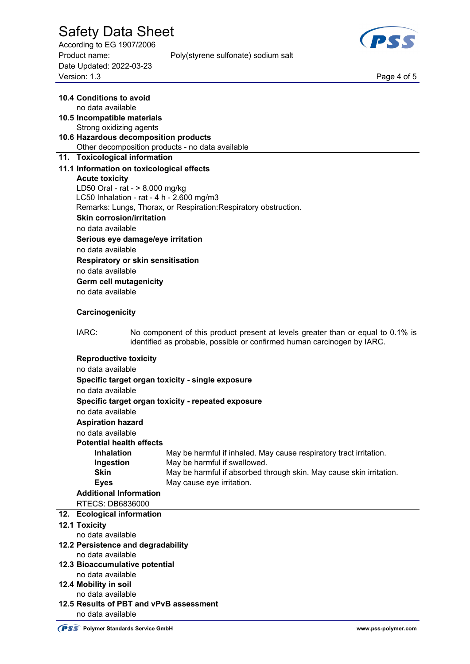According to EG 1907/2006 Date Updated: 2022-03-23 Page 4 of 5<br>Version: 1.3 Page 4 of 5

Product name: Poly(styrene sulfonate) sodium salt



|     | 10.4 Conditions to avoid<br>no data available                                |  |                                                                                 |  |  |  |
|-----|------------------------------------------------------------------------------|--|---------------------------------------------------------------------------------|--|--|--|
|     | 10.5 Incompatible materials<br>Strong oxidizing agents                       |  |                                                                                 |  |  |  |
|     | 10.6 Hazardous decomposition products                                        |  |                                                                                 |  |  |  |
|     |                                                                              |  | Other decomposition products - no data available                                |  |  |  |
|     | 11. Toxicological information                                                |  |                                                                                 |  |  |  |
|     | 11.1 Information on toxicological effects                                    |  |                                                                                 |  |  |  |
|     | <b>Acute toxicity</b>                                                        |  |                                                                                 |  |  |  |
|     | LD50 Oral - rat - > 8.000 mg/kg<br>LC50 Inhalation - rat - 4 h - 2.600 mg/m3 |  |                                                                                 |  |  |  |
|     | Remarks: Lungs, Thorax, or Respiration: Respiratory obstruction.             |  |                                                                                 |  |  |  |
|     | <b>Skin corrosion/irritation</b>                                             |  |                                                                                 |  |  |  |
|     | no data available                                                            |  |                                                                                 |  |  |  |
|     | Serious eye damage/eye irritation                                            |  |                                                                                 |  |  |  |
|     | no data available                                                            |  |                                                                                 |  |  |  |
|     | <b>Respiratory or skin sensitisation</b>                                     |  |                                                                                 |  |  |  |
|     | no data available                                                            |  |                                                                                 |  |  |  |
|     | <b>Germ cell mutagenicity</b>                                                |  |                                                                                 |  |  |  |
|     | no data available                                                            |  |                                                                                 |  |  |  |
|     | Carcinogenicity                                                              |  |                                                                                 |  |  |  |
|     | IARC:                                                                        |  | No component of this product present at levels greater than or equal to 0.1% is |  |  |  |
|     |                                                                              |  | identified as probable, possible or confirmed human carcinogen by IARC.         |  |  |  |
|     | <b>Reproductive toxicity</b>                                                 |  |                                                                                 |  |  |  |
|     | no data available                                                            |  |                                                                                 |  |  |  |
|     |                                                                              |  | Specific target organ toxicity - single exposure                                |  |  |  |
|     | no data available                                                            |  |                                                                                 |  |  |  |
|     |                                                                              |  | Specific target organ toxicity - repeated exposure                              |  |  |  |
|     | no data available                                                            |  |                                                                                 |  |  |  |
|     | <b>Aspiration hazard</b>                                                     |  |                                                                                 |  |  |  |
|     | no data available                                                            |  |                                                                                 |  |  |  |
|     | <b>Potential health effects</b>                                              |  |                                                                                 |  |  |  |
|     | <b>Inhalation</b>                                                            |  | May be harmful if inhaled. May cause respiratory tract irritation.              |  |  |  |
|     | Ingestion                                                                    |  | May be harmful if swallowed.                                                    |  |  |  |
|     | <b>Skin</b>                                                                  |  | May be harmful if absorbed through skin. May cause skin irritation.             |  |  |  |
|     | <b>Eyes</b>                                                                  |  | May cause eye irritation.                                                       |  |  |  |
|     | <b>Additional Information</b>                                                |  |                                                                                 |  |  |  |
|     | RTECS: DB6836000                                                             |  |                                                                                 |  |  |  |
| 12. | <b>Ecological information</b>                                                |  |                                                                                 |  |  |  |
|     | 12.1 Toxicity                                                                |  |                                                                                 |  |  |  |
|     | no data available                                                            |  |                                                                                 |  |  |  |
|     | 12.2 Persistence and degradability                                           |  |                                                                                 |  |  |  |
|     | no data available                                                            |  |                                                                                 |  |  |  |
|     | 12.3 Bioaccumulative potential<br>no data available                          |  |                                                                                 |  |  |  |
|     | 12.4 Mobility in soil                                                        |  |                                                                                 |  |  |  |
|     | no data available                                                            |  |                                                                                 |  |  |  |
|     | 12.5 Results of PBT and vPvB assessment                                      |  |                                                                                 |  |  |  |
|     | no data available                                                            |  |                                                                                 |  |  |  |